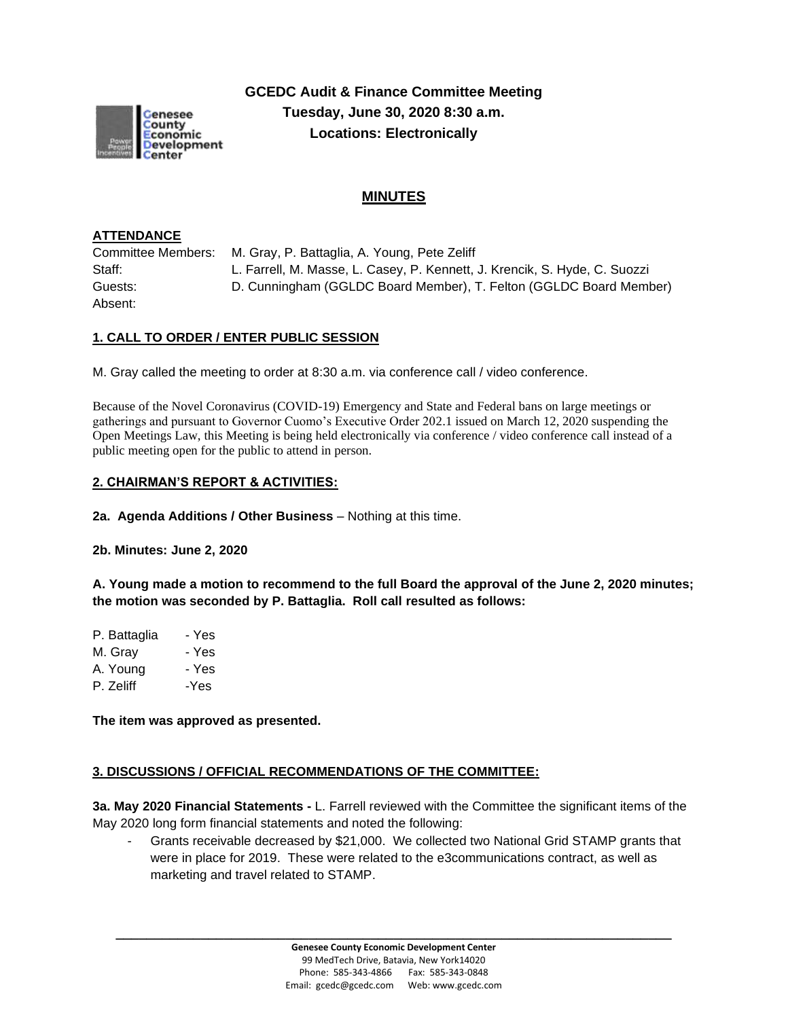

**GCEDC Audit & Finance Committee Meeting Tuesday, June 30, 2020 8:30 a.m. Locations: Electronically**

# **MINUTES**

#### **ATTENDANCE**

Committee Members: M. Gray, P. Battaglia, A. Young, Pete Zeliff Staff: L. Farrell, M. Masse, L. Casey, P. Kennett, J. Krencik, S. Hyde, C. Suozzi Guests: D. Cunningham (GGLDC Board Member), T. Felton (GGLDC Board Member) Absent:

#### **1. CALL TO ORDER / ENTER PUBLIC SESSION**

M. Gray called the meeting to order at 8:30 a.m. via conference call / video conference.

Because of the Novel Coronavirus (COVID-19) Emergency and State and Federal bans on large meetings or gatherings and pursuant to Governor Cuomo's Executive Order 202.1 issued on March 12, 2020 suspending the Open Meetings Law, this Meeting is being held electronically via conference / video conference call instead of a public meeting open for the public to attend in person.

#### **2. CHAIRMAN'S REPORT & ACTIVITIES:**

**2a. Agenda Additions / Other Business** – Nothing at this time.

**2b. Minutes: June 2, 2020**

**A. Young made a motion to recommend to the full Board the approval of the June 2, 2020 minutes; the motion was seconded by P. Battaglia. Roll call resulted as follows:**

| P. Battaglia | - Yes |
|--------------|-------|
| M. Gray      | - Yes |
| A. Young     | - Yes |
| P. Zeliff    | -Yes  |
|              |       |

**The item was approved as presented.**

#### **3. DISCUSSIONS / OFFICIAL RECOMMENDATIONS OF THE COMMITTEE:**

**3a. May 2020 Financial Statements -** L. Farrell reviewed with the Committee the significant items of the May 2020 long form financial statements and noted the following:

Grants receivable decreased by \$21,000. We collected two National Grid STAMP grants that were in place for 2019. These were related to the e3communications contract, as well as marketing and travel related to STAMP.

**\_\_\_\_\_\_\_\_\_\_\_\_\_\_\_\_\_\_\_\_\_\_\_\_\_\_\_\_\_\_\_\_\_\_\_\_\_\_\_\_\_\_\_\_\_\_\_\_\_\_\_\_\_\_\_\_\_\_\_\_\_\_\_\_\_\_\_\_\_\_\_\_**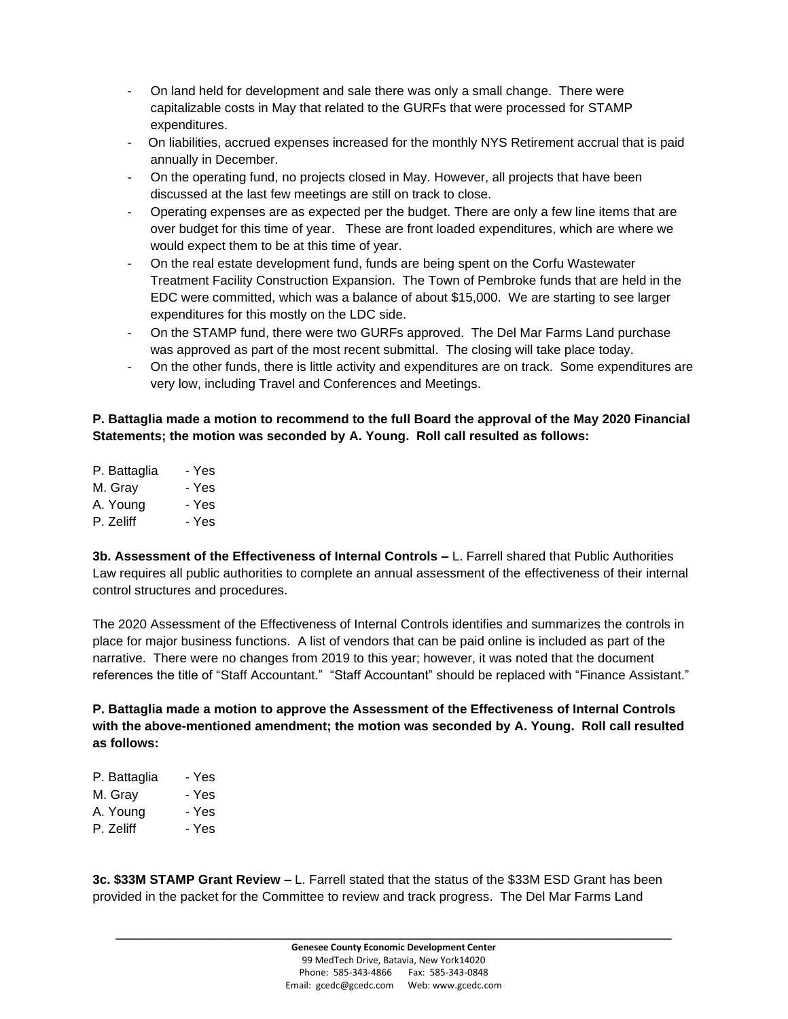- On land held for development and sale there was only a small change. There were capitalizable costs in May that related to the GURFs that were processed for STAMP expenditures.
- On liabilities, accrued expenses increased for the monthly NYS Retirement accrual that is paid annually in December.
- On the operating fund, no projects closed in May. However, all projects that have been discussed at the last few meetings are still on track to close.
- Operating expenses are as expected per the budget. There are only a few line items that are over budget for this time of year. These are front loaded expenditures, which are where we would expect them to be at this time of year.
- On the real estate development fund, funds are being spent on the Corfu Wastewater Treatment Facility Construction Expansion. The Town of Pembroke funds that are held in the EDC were committed, which was a balance of about \$15,000. We are starting to see larger expenditures for this mostly on the LDC side.
- On the STAMP fund, there were two GURFs approved. The Del Mar Farms Land purchase was approved as part of the most recent submittal. The closing will take place today.
- On the other funds, there is little activity and expenditures are on track. Some expenditures are very low, including Travel and Conferences and Meetings.

## **P. Battaglia made a motion to recommend to the full Board the approval of the May 2020 Financial Statements; the motion was seconded by A. Young. Roll call resulted as follows:**

| P. Battaglia | - Yes |
|--------------|-------|
| M. Gray      | - Yes |
| A. Young     | - Yes |
| P. Zeliff    | - Yes |
|              |       |

**3b. Assessment of the Effectiveness of Internal Controls –** L. Farrell shared that Public Authorities Law requires all public authorities to complete an annual assessment of the effectiveness of their internal control structures and procedures.

The 2020 Assessment of the Effectiveness of Internal Controls identifies and summarizes the controls in place for major business functions. A list of vendors that can be paid online is included as part of the narrative. There were no changes from 2019 to this year; however, it was noted that the document references the title of "Staff Accountant." "Staff Accountant" should be replaced with "Finance Assistant."

**P. Battaglia made a motion to approve the Assessment of the Effectiveness of Internal Controls with the above-mentioned amendment; the motion was seconded by A. Young. Roll call resulted as follows:**

| P. Battaglia | - Yes |
|--------------|-------|
| M. Gray      | - Yes |
| A. Young     | - Yes |
| P. Zeliff    | - Yes |
|              |       |

**3c. \$33M STAMP Grant Review –** L. Farrell stated that the status of the \$33M ESD Grant has been provided in the packet for the Committee to review and track progress. The Del Mar Farms Land

**\_\_\_\_\_\_\_\_\_\_\_\_\_\_\_\_\_\_\_\_\_\_\_\_\_\_\_\_\_\_\_\_\_\_\_\_\_\_\_\_\_\_\_\_\_\_\_\_\_\_\_\_\_\_\_\_\_\_\_\_\_\_\_\_\_\_\_\_\_\_\_\_**